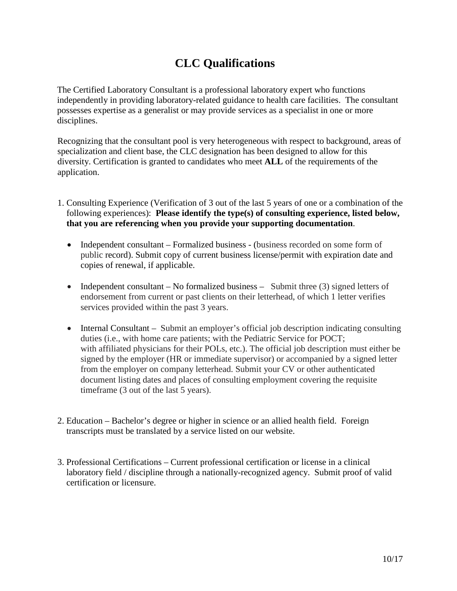## **CLC Qualifications**

The Certified Laboratory Consultant is a professional laboratory expert who functions independently in providing laboratory-related guidance to health care facilities. The consultant possesses expertise as a generalist or may provide services as a specialist in one or more disciplines.

Recognizing that the consultant pool is very heterogeneous with respect to background, areas of specialization and client base, the CLC designation has been designed to allow for this diversity. Certification is granted to candidates who meet **ALL** of the requirements of the application.

- 1. Consulting Experience (Verification of 3 out of the last 5 years of one or a combination of the following experiences): **Please identify the type(s) of consulting experience, listed below, that you are referencing when you provide your supporting documentation**.
	- Independent consultant Formalized business (business recorded on some form of public record). Submit copy of current business license/permit with expiration date and copies of renewal, if applicable.
	- Independent consultant No formalized business Submit three (3) signed letters of endorsement from current or past clients on their letterhead, of which 1 letter verifies services provided within the past 3 years.
	- Internal Consultant Submit an employer's official job description indicating consulting duties (i.e., with home care patients; with the Pediatric Service for POCT; with affiliated physicians for their POLs, etc.). The official job description must either be signed by the employer (HR or immediate supervisor) or accompanied by a signed letter from the employer on company letterhead. Submit your CV or other authenticated document listing dates and places of consulting employment covering the requisite timeframe (3 out of the last 5 years).
- 2. Education Bachelor's degree or higher in science or an allied health field. Foreign transcripts must be translated by a service listed on our website.
- 3. Professional Certifications Current professional certification or license in a clinical laboratory field / discipline through a nationally-recognized agency. Submit proof of valid certification or licensure.